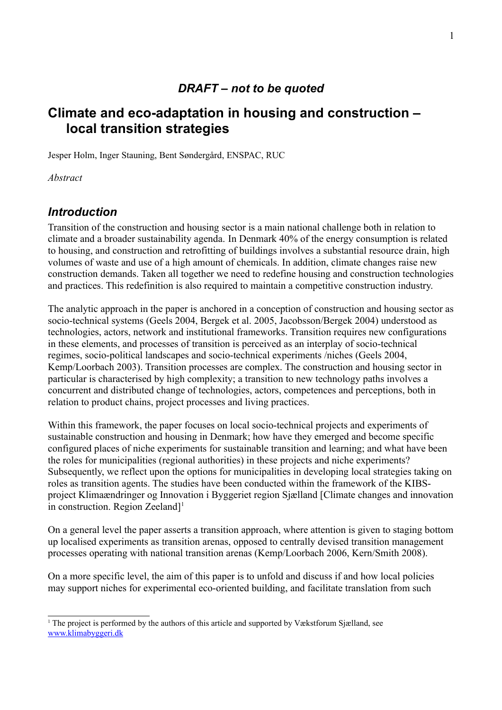### *DRAFT – not to be quoted*

# **Climate and eco-adaptation in housing and construction – local transition strategies**

Jesper Holm, Inger Stauning, Bent Søndergård, ENSPAC, RUC

*Abstract*

# *Introduction*

Transition of the construction and housing sector is a main national challenge both in relation to climate and a broader sustainability agenda. In Denmark 40% of the energy consumption is related to housing, and construction and retrofitting of buildings involves a substantial resource drain, high volumes of waste and use of a high amount of chemicals. In addition, climate changes raise new construction demands. Taken all together we need to redefine housing and construction technologies and practices. This redefinition is also required to maintain a competitive construction industry.

The analytic approach in the paper is anchored in a conception of construction and housing sector as socio-technical systems (Geels 2004, Bergek et al. 2005, Jacobsson/Bergek 2004) understood as technologies, actors, network and institutional frameworks. Transition requires new configurations in these elements, and processes of transition is perceived as an interplay of socio-technical regimes, socio-political landscapes and socio-technical experiments /niches (Geels 2004, Kemp/Loorbach 2003). Transition processes are complex. The construction and housing sector in particular is characterised by high complexity; a transition to new technology paths involves a concurrent and distributed change of technologies, actors, competences and perceptions, both in relation to product chains, project processes and living practices.

Within this framework, the paper focuses on local socio-technical projects and experiments of sustainable construction and housing in Denmark; how have they emerged and become specific configured places of niche experiments for sustainable transition and learning; and what have been the roles for municipalities (regional authorities) in these projects and niche experiments? Subsequently, we reflect upon the options for municipalities in developing local strategies taking on roles as transition agents. The studies have been conducted within the framework of the KIBSproject Klimaændringer og Innovation i Byggeriet region Sjælland [Climate changes and innovation in construction. Region Zeeland]<sup>[1](#page-0-0)</sup>

On a general level the paper asserts a transition approach, where attention is given to staging bottom up localised experiments as transition arenas, opposed to centrally devised transition management processes operating with national transition arenas (Kemp/Loorbach 2006, Kern/Smith 2008).

On a more specific level, the aim of this paper is to unfold and discuss if and how local policies may support niches for experimental eco-oriented building, and facilitate translation from such

<span id="page-0-0"></span><sup>1</sup> The project is performed by the authors of this article and supported by Vækstforum Sjælland, see [www.klimabyggeri.dk](http://www.klimabyggeri.dk/)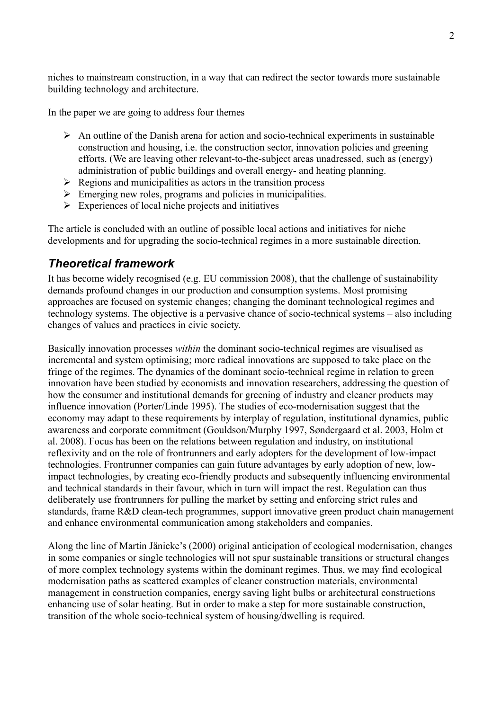niches to mainstream construction, in a way that can redirect the sector towards more sustainable building technology and architecture.

In the paper we are going to address four themes

- $\triangleright$  An outline of the Danish arena for action and socio-technical experiments in sustainable construction and housing, i.e. the construction sector, innovation policies and greening efforts. (We are leaving other relevant-to-the-subject areas unadressed, such as (energy) administration of public buildings and overall energy- and heating planning.
- $\triangleright$  Regions and municipalities as actors in the transition process
- $\triangleright$  Emerging new roles, programs and policies in municipalities.
- $\triangleright$  Experiences of local niche projects and initiatives

The article is concluded with an outline of possible local actions and initiatives for niche developments and for upgrading the socio-technical regimes in a more sustainable direction.

# *Theoretical framework*

It has become widely recognised (e.g. EU commission 2008), that the challenge of sustainability demands profound changes in our production and consumption systems. Most promising approaches are focused on systemic changes; changing the dominant technological regimes and technology systems. The objective is a pervasive chance of socio-technical systems – also including changes of values and practices in civic society.

Basically innovation processes *within* the dominant socio-technical regimes are visualised as incremental and system optimising; more radical innovations are supposed to take place on the fringe of the regimes. The dynamics of the dominant socio-technical regime in relation to green innovation have been studied by economists and innovation researchers, addressing the question of how the consumer and institutional demands for greening of industry and cleaner products may influence innovation (Porter/Linde 1995). The studies of eco-modernisation suggest that the economy may adapt to these requirements by interplay of regulation, institutional dynamics, public awareness and corporate commitment (Gouldson/Murphy 1997, Søndergaard et al. 2003, Holm et al. 2008). Focus has been on the relations between regulation and industry, on institutional reflexivity and on the role of frontrunners and early adopters for the development of low-impact technologies. Frontrunner companies can gain future advantages by early adoption of new, lowimpact technologies, by creating eco-friendly products and subsequently influencing environmental and technical standards in their favour, which in turn will impact the rest. Regulation can thus deliberately use frontrunners for pulling the market by setting and enforcing strict rules and standards, frame R&D clean-tech programmes, support innovative green product chain management and enhance environmental communication among stakeholders and companies.

Along the line of Martin Jänicke's (2000) original anticipation of ecological modernisation, changes in some companies or single technologies will not spur sustainable transitions or structural changes of more complex technology systems within the dominant regimes. Thus, we may find ecological modernisation paths as scattered examples of cleaner construction materials, environmental management in construction companies, energy saving light bulbs or architectural constructions enhancing use of solar heating. But in order to make a step for more sustainable construction, transition of the whole socio-technical system of housing/dwelling is required.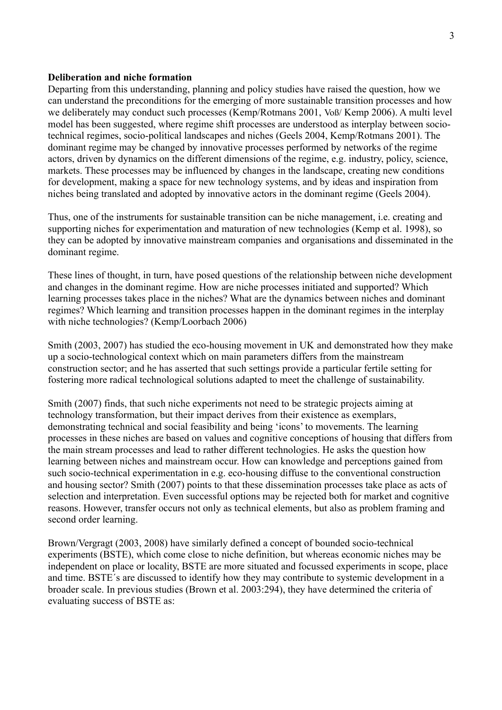#### **Deliberation and niche formation**

Departing from this understanding, planning and policy studies have raised the question, how we can understand the preconditions for the emerging of more sustainable transition processes and how we deliberately may conduct such processes (Kemp/Rotmans 2001, Voß/ Kemp 2006). A multi level model has been suggested, where regime shift processes are understood as interplay between sociotechnical regimes, socio-political landscapes and niches (Geels 2004, Kemp/Rotmans 2001). The dominant regime may be changed by innovative processes performed by networks of the regime actors, driven by dynamics on the different dimensions of the regime, e.g. industry, policy, science, markets. These processes may be influenced by changes in the landscape, creating new conditions for development, making a space for new technology systems, and by ideas and inspiration from niches being translated and adopted by innovative actors in the dominant regime (Geels 2004).

Thus, one of the instruments for sustainable transition can be niche management, i.e. creating and supporting niches for experimentation and maturation of new technologies (Kemp et al. 1998), so they can be adopted by innovative mainstream companies and organisations and disseminated in the dominant regime.

These lines of thought, in turn, have posed questions of the relationship between niche development and changes in the dominant regime. How are niche processes initiated and supported? Which learning processes takes place in the niches? What are the dynamics between niches and dominant regimes? Which learning and transition processes happen in the dominant regimes in the interplay with niche technologies? (Kemp/Loorbach 2006)

Smith (2003, 2007) has studied the eco-housing movement in UK and demonstrated how they make up a socio-technological context which on main parameters differs from the mainstream construction sector; and he has asserted that such settings provide a particular fertile setting for fostering more radical technological solutions adapted to meet the challenge of sustainability.

Smith (2007) finds, that such niche experiments not need to be strategic projects aiming at technology transformation, but their impact derives from their existence as exemplars, demonstrating technical and social feasibility and being 'icons' to movements. The learning processes in these niches are based on values and cognitive conceptions of housing that differs from the main stream processes and lead to rather different technologies. He asks the question how learning between niches and mainstream occur. How can knowledge and perceptions gained from such socio-technical experimentation in e.g. eco-housing diffuse to the conventional construction and housing sector? Smith (2007) points to that these dissemination processes take place as acts of selection and interpretation. Even successful options may be rejected both for market and cognitive reasons. However, transfer occurs not only as technical elements, but also as problem framing and second order learning.

Brown/Vergragt (2003, 2008) have similarly defined a concept of bounded socio-technical experiments (BSTE), which come close to niche definition, but whereas economic niches may be independent on place or locality, BSTE are more situated and focussed experiments in scope, place and time. BSTE´s are discussed to identify how they may contribute to systemic development in a broader scale. In previous studies (Brown et al. 2003:294), they have determined the criteria of evaluating success of BSTE as: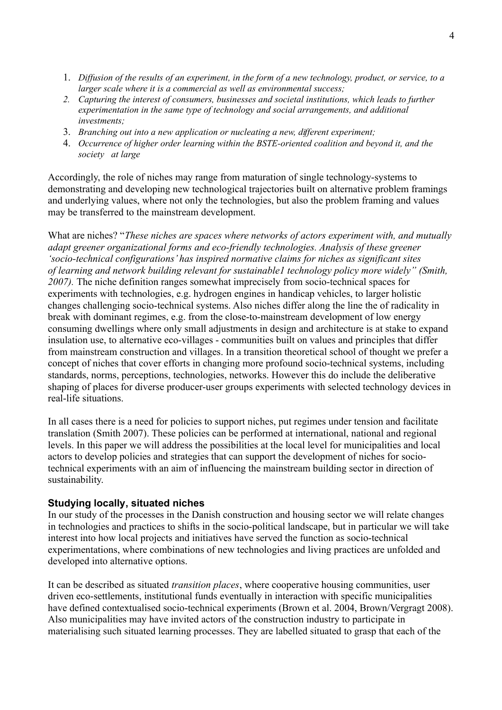- 1. *Diffusion of the results of an experiment, in the form of a new technology, product, or service, to a larger scale where it is a commercial as well as environmental success;*
- *2. Capturing the interest of consumers, businesses and societal institutions, which leads to further experimentation in the same type of technology and social arrangements, and additional investments;*
- 3. *Branching out into a new application or nucleating a new, different experiment;*
- 4. *Occurrence of higher order learning within the BSTE-oriented coalition and beyond it, and the society at large*

Accordingly, the role of niches may range from maturation of single technology-systems to demonstrating and developing new technological trajectories built on alternative problem framings and underlying values, where not only the technologies, but also the problem framing and values may be transferred to the mainstream development.

What are niches? "*These niches are spaces where networks of actors experiment with, and mutually adapt greener organizational forms and eco-friendly technologies. Analysis of these greener 'socio-technical configurations' has inspired normative claims for niches as significant sites of learning and network building relevant for sustainable1 technology policy more widely" (Smith, 2007).* The niche definition ranges somewhat imprecisely from socio-technical spaces for experiments with technologies, e.g. hydrogen engines in handicap vehicles, to larger holistic changes challenging socio-technical systems. Also niches differ along the line the of radicality in break with dominant regimes, e.g. from the close-to-mainstream development of low energy consuming dwellings where only small adjustments in design and architecture is at stake to expand insulation use, to alternative eco-villages - communities built on values and principles that differ from mainstream construction and villages. In a transition theoretical school of thought we prefer a concept of niches that cover efforts in changing more profound socio-technical systems, including standards, norms, perceptions, technologies, networks. However this do include the deliberative shaping of places for diverse producer-user groups experiments with selected technology devices in real-life situations.

In all cases there is a need for policies to support niches, put regimes under tension and facilitate translation (Smith 2007). These policies can be performed at international, national and regional levels. In this paper we will address the possibilities at the local level for municipalities and local actors to develop policies and strategies that can support the development of niches for sociotechnical experiments with an aim of influencing the mainstream building sector in direction of sustainability.

#### **Studying locally, situated niches**

In our study of the processes in the Danish construction and housing sector we will relate changes in technologies and practices to shifts in the socio-political landscape, but in particular we will take interest into how local projects and initiatives have served the function as socio-technical experimentations, where combinations of new technologies and living practices are unfolded and developed into alternative options.

It can be described as situated *transition places*, where cooperative housing communities, user driven eco-settlements, institutional funds eventually in interaction with specific municipalities have defined contextualised socio-technical experiments (Brown et al. 2004, Brown/Vergragt 2008). Also municipalities may have invited actors of the construction industry to participate in materialising such situated learning processes. They are labelled situated to grasp that each of the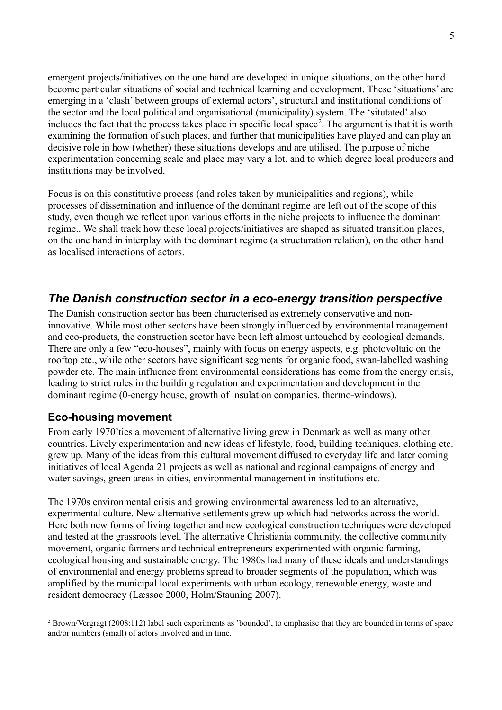emergent projects/initiatives on the one hand are developed in unique situations, on the other hand become particular situations of social and technical learning and development. These 'situations' are emerging in a 'clash' between groups of external actors', structural and institutional conditions of the sector and the local political and organisational (municipality) system. The 'situtated' also includes the fact that the process takes place in specific local space<sup>[2](#page-4-0)</sup>. The argument is that it is worth examining the formation of such places, and further that municipalities have played and can play an decisive role in how (whether) these situations develops and are utilised. The purpose of niche experimentation concerning scale and place may vary a lot, and to which degree local producers and institutions may be involved.

Focus is on this constitutive process (and roles taken by municipalities and regions), while processes of dissemination and influence of the dominant regime are left out of the scope of this study, even though we reflect upon various efforts in the niche projects to influence the dominant regime.. We shall track how these local projects/initiatives are shaped as situated transition places, on the one hand in interplay with the dominant regime (a structuration relation), on the other hand as localised interactions of actors.

# *The Danish construction sector in a eco-energy transition perspective*

The Danish construction sector has been characterised as extremely conservative and noninnovative. While most other sectors have been strongly influenced by environmental management and eco-products, the construction sector have been left almost untouched by ecological demands. There are only a few "eco-houses", mainly with focus on energy aspects, e.g. photovoltaic on the rooftop etc., while other sectors have significant segments for organic food, swan-labelled washing powder etc. The main influence from environmental considerations has come from the energy crisis, leading to strict rules in the building regulation and experimentation and development in the dominant regime (0-energy house, growth of insulation companies, thermo-windows).

### **Eco-housing movement**

From early 1970'ties a movement of alternative living grew in Denmark as well as many other countries. Lively experimentation and new ideas of lifestyle, food, building techniques, clothing etc. grew up. Many of the ideas from this cultural movement diffused to everyday life and later coming initiatives of local Agenda 21 projects as well as national and regional campaigns of energy and water savings, green areas in cities, environmental management in institutions etc.

The 1970s environmental crisis and growing environmental awareness led to an alternative, experimental culture. New alternative settlements grew up which had networks across the world. Here both new forms of living together and new ecological construction techniques were developed and tested at the grassroots level. The alternative Christiania community, the collective community movement, organic farmers and technical entrepreneurs experimented with organic farming, ecological housing and sustainable energy. The 1980s had many of these ideals and understandings of environmental and energy problems spread to broader segments of the population, which was amplified by the municipal local experiments with urban ecology, renewable energy, waste and resident democracy (Læssøe 2000, Holm/Stauning 2007).

<span id="page-4-0"></span><sup>&</sup>lt;sup>2</sup> Brown/Vergragt (2008:112) label such experiments as 'bounded', to emphasise that they are bounded in terms of space and/or numbers (small) of actors involved and in time.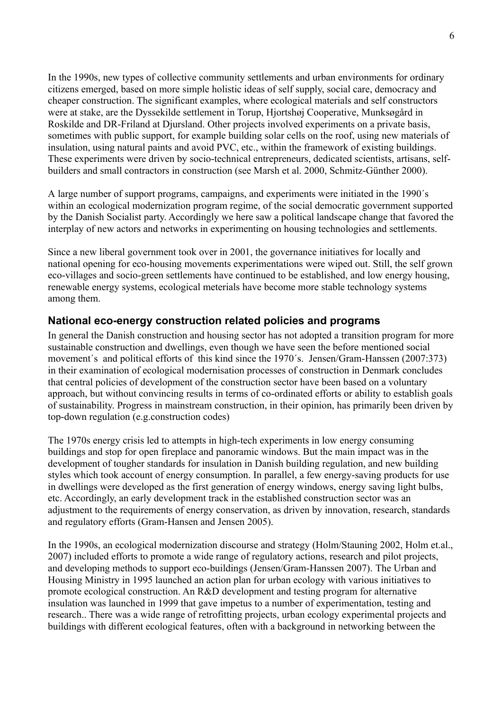In the 1990s, new types of collective community settlements and urban environments for ordinary citizens emerged, based on more simple holistic ideas of self supply, social care, democracy and cheaper construction. The significant examples, where ecological materials and self constructors were at stake, are the Dyssekilde settlement in Torup, Hjortshøj Cooperative, Munksøgård in Roskilde and DR-Friland at Djursland. Other projects involved experiments on a private basis, sometimes with public support, for example building solar cells on the roof, using new materials of insulation, using natural paints and avoid PVC, etc., within the framework of existing buildings. These experiments were driven by socio-technical entrepreneurs, dedicated scientists, artisans, selfbuilders and small contractors in construction (see Marsh et al. 2000, Schmitz-Günther 2000).

A large number of support programs, campaigns, and experiments were initiated in the 1990´s within an ecological modernization program regime, of the social democratic government supported by the Danish Socialist party. Accordingly we here saw a political landscape change that favored the interplay of new actors and networks in experimenting on housing technologies and settlements.

Since a new liberal government took over in 2001, the governance initiatives for locally and national opening for eco-housing movements experimentations were wiped out. Still, the self grown eco-villages and socio-green settlements have continued to be established, and low energy housing, renewable energy systems, ecological meterials have become more stable technology systems among them.

### **National eco-energy construction related policies and programs**

In general the Danish construction and housing sector has not adopted a transition program for more sustainable construction and dwellings, even though we have seen the before mentioned social movement's and political efforts of this kind since the 1970's. Jensen/Gram-Hanssen (2007:373) in their examination of ecological modernisation processes of construction in Denmark concludes that central policies of development of the construction sector have been based on a voluntary approach, but without convincing results in terms of co-ordinated efforts or ability to establish goals of sustainability. Progress in mainstream construction, in their opinion, has primarily been driven by top-down regulation (e.g.construction codes)

The 1970s energy crisis led to attempts in high-tech experiments in low energy consuming buildings and stop for open fireplace and panoramic windows. But the main impact was in the development of tougher standards for insulation in Danish building regulation, and new building styles which took account of energy consumption. In parallel, a few energy-saving products for use in dwellings were developed as the first generation of energy windows, energy saving light bulbs, etc. Accordingly, an early development track in the established construction sector was an adjustment to the requirements of energy conservation, as driven by innovation, research, standards and regulatory efforts (Gram-Hansen and Jensen 2005).

In the 1990s, an ecological modernization discourse and strategy (Holm/Stauning 2002, Holm et.al., 2007) included efforts to promote a wide range of regulatory actions, research and pilot projects, and developing methods to support eco-buildings (Jensen/Gram-Hanssen 2007). The Urban and Housing Ministry in 1995 launched an action plan for urban ecology with various initiatives to promote ecological construction. An R&D development and testing program for alternative insulation was launched in 1999 that gave impetus to a number of experimentation, testing and research.. There was a wide range of retrofitting projects, urban ecology experimental projects and buildings with different ecological features, often with a background in networking between the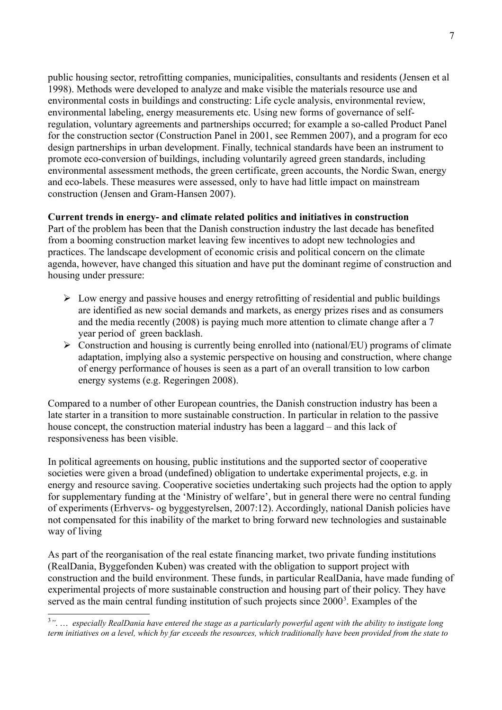public housing sector, retrofitting companies, municipalities, consultants and residents (Jensen et al 1998). Methods were developed to analyze and make visible the materials resource use and environmental costs in buildings and constructing: Life cycle analysis, environmental review, environmental labeling, energy measurements etc. Using new forms of governance of selfregulation, voluntary agreements and partnerships occurred; for example a so-called Product Panel for the construction sector (Construction Panel in 2001, see Remmen 2007), and a program for eco design partnerships in urban development. Finally, technical standards have been an instrument to promote eco-conversion of buildings, including voluntarily agreed green standards, including environmental assessment methods, the green certificate, green accounts, the Nordic Swan, energy and eco-labels. These measures were assessed, only to have had little impact on mainstream construction (Jensen and Gram-Hansen 2007).

#### **Current trends in energy- and climate related politics and initiatives in construction**

Part of the problem has been that the Danish construction industry the last decade has benefited from a booming construction market leaving few incentives to adopt new technologies and practices. The landscape development of economic crisis and political concern on the climate agenda, however, have changed this situation and have put the dominant regime of construction and housing under pressure:

- $\triangleright$  Low energy and passive houses and energy retrofitting of residential and public buildings are identified as new social demands and markets, as energy prizes rises and as consumers and the media recently (2008) is paying much more attention to climate change after a 7 year period of green backlash.
- $\triangleright$  Construction and housing is currently being enrolled into (national/EU) programs of climate adaptation, implying also a systemic perspective on housing and construction, where change of energy performance of houses is seen as a part of an overall transition to low carbon energy systems (e.g. Regeringen 2008).

Compared to a number of other European countries, the Danish construction industry has been a late starter in a transition to more sustainable construction. In particular in relation to the passive house concept, the construction material industry has been a laggard – and this lack of responsiveness has been visible.

In political agreements on housing, public institutions and the supported sector of cooperative societies were given a broad (undefined) obligation to undertake experimental projects, e.g. in energy and resource saving. Cooperative societies undertaking such projects had the option to apply for supplementary funding at the 'Ministry of welfare', but in general there were no central funding of experiments (Erhvervs- og byggestyrelsen, 2007:12). Accordingly, national Danish policies have not compensated for this inability of the market to bring forward new technologies and sustainable way of living

As part of the reorganisation of the real estate financing market, two private funding institutions (RealDania, Byggefonden Kuben) was created with the obligation to support project with construction and the build environment. These funds, in particular RealDania, have made funding of experimental projects of more sustainable construction and housing part of their policy. They have served as the main central funding institution of such projects since 2000<sup>[3](#page-6-0)</sup>. Examples of the

<span id="page-6-0"></span><sup>3</sup> *"*. … *especially RealDania have entered the stage as a particularly powerful agent with the ability to instigate long term initiatives on a level, which by far exceeds the resources, which traditionally have been provided from the state to*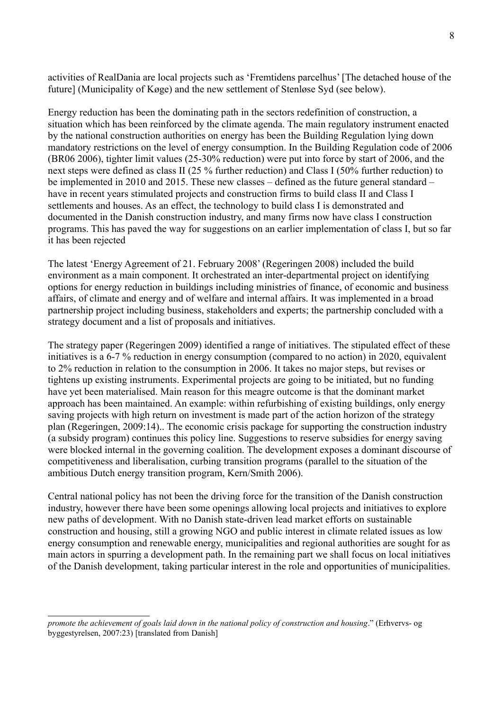activities of RealDania are local projects such as 'Fremtidens parcelhus' [The detached house of the future] (Municipality of Køge) and the new settlement of Stenløse Syd (see below).

Energy reduction has been the dominating path in the sectors redefinition of construction, a situation which has been reinforced by the climate agenda. The main regulatory instrument enacted by the national construction authorities on energy has been the Building Regulation lying down mandatory restrictions on the level of energy consumption. In the Building Regulation code of 2006 (BR06 2006), tighter limit values (25-30% reduction) were put into force by start of 2006, and the next steps were defined as class II (25 % further reduction) and Class I (50% further reduction) to be implemented in 2010 and 2015. These new classes – defined as the future general standard – have in recent years stimulated projects and construction firms to build class II and Class I settlements and houses. As an effect, the technology to build class I is demonstrated and documented in the Danish construction industry, and many firms now have class I construction programs. This has paved the way for suggestions on an earlier implementation of class I, but so far it has been rejected

The latest 'Energy Agreement of 21. February 2008' (Regeringen 2008) included the build environment as a main component. It orchestrated an inter-departmental project on identifying options for energy reduction in buildings including ministries of finance, of economic and business affairs, of climate and energy and of welfare and internal affairs. It was implemented in a broad partnership project including business, stakeholders and experts; the partnership concluded with a strategy document and a list of proposals and initiatives.

The strategy paper (Regeringen 2009) identified a range of initiatives. The stipulated effect of these initiatives is a 6-7 % reduction in energy consumption (compared to no action) in 2020, equivalent to 2% reduction in relation to the consumption in 2006. It takes no major steps, but revises or tightens up existing instruments. Experimental projects are going to be initiated, but no funding have yet been materialised. Main reason for this meagre outcome is that the dominant market approach has been maintained. An example: within refurbishing of existing buildings, only energy saving projects with high return on investment is made part of the action horizon of the strategy plan (Regeringen, 2009:14).. The economic crisis package for supporting the construction industry (a subsidy program) continues this policy line. Suggestions to reserve subsidies for energy saving were blocked internal in the governing coalition. The development exposes a dominant discourse of competitiveness and liberalisation, curbing transition programs (parallel to the situation of the ambitious Dutch energy transition program, Kern/Smith 2006).

Central national policy has not been the driving force for the transition of the Danish construction industry, however there have been some openings allowing local projects and initiatives to explore new paths of development. With no Danish state-driven lead market efforts on sustainable construction and housing, still a growing NGO and public interest in climate related issues as low energy consumption and renewable energy, municipalities and regional authorities are sought for as main actors in spurring a development path. In the remaining part we shall focus on local initiatives of the Danish development, taking particular interest in the role and opportunities of municipalities.

*promote the achievement of goals laid down in the national policy of construction and housing*." (Erhvervs- og byggestyrelsen, 2007:23) [translated from Danish]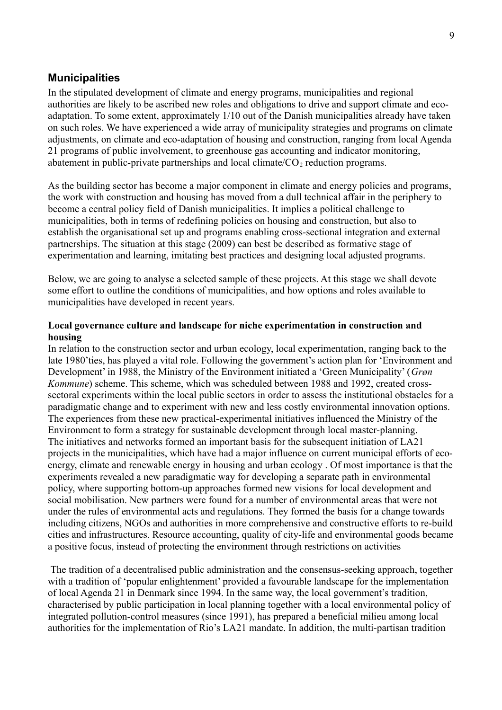#### **Municipalities**

In the stipulated development of climate and energy programs, municipalities and regional authorities are likely to be ascribed new roles and obligations to drive and support climate and ecoadaptation. To some extent, approximately 1/10 out of the Danish municipalities already have taken on such roles. We have experienced a wide array of municipality strategies and programs on climate adjustments, on climate and eco-adaptation of housing and construction, ranging from local Agenda 21 programs of public involvement, to greenhouse gas accounting and indicator monitoring, abatement in public-private partnerships and local climate/ $CO<sub>2</sub>$  reduction programs.

As the building sector has become a major component in climate and energy policies and programs, the work with construction and housing has moved from a dull technical affair in the periphery to become a central policy field of Danish municipalities. It implies a political challenge to municipalities, both in terms of redefining policies on housing and construction, but also to establish the organisational set up and programs enabling cross-sectional integration and external partnerships. The situation at this stage (2009) can best be described as formative stage of experimentation and learning, imitating best practices and designing local adjusted programs.

Below, we are going to analyse a selected sample of these projects. At this stage we shall devote some effort to outline the conditions of municipalities, and how options and roles available to municipalities have developed in recent years.

#### **Local governance culture and landscape for niche experimentation in construction and housing**

In relation to the construction sector and urban ecology, local experimentation, ranging back to the late 1980'ties, has played a vital role. Following the government's action plan for 'Environment and Development' in 1988, the Ministry of the Environment initiated a 'Green Municipality' (*Grøn Kommune*) scheme. This scheme, which was scheduled between 1988 and 1992, created crosssectoral experiments within the local public sectors in order to assess the institutional obstacles for a paradigmatic change and to experiment with new and less costly environmental innovation options. The experiences from these new practical-experimental initiatives influenced the Ministry of the Environment to form a strategy for sustainable development through local master-planning. The initiatives and networks formed an important basis for the subsequent initiation of LA21 projects in the municipalities, which have had a major influence on current municipal efforts of ecoenergy, climate and renewable energy in housing and urban ecology . Of most importance is that the experiments revealed a new paradigmatic way for developing a separate path in environmental policy, where supporting bottom-up approaches formed new visions for local development and social mobilisation. New partners were found for a number of environmental areas that were not under the rules of environmental acts and regulations. They formed the basis for a change towards including citizens, NGOs and authorities in more comprehensive and constructive efforts to re-build cities and infrastructures. Resource accounting, quality of city-life and environmental goods became a positive focus, instead of protecting the environment through restrictions on activities

The tradition of a decentralised public administration and the consensus-seeking approach, together with a tradition of 'popular enlightenment' provided a favourable landscape for the implementation of local Agenda 21 in Denmark since 1994. In the same way, the local government's tradition, characterised by public participation in local planning together with a local environmental policy of integrated pollution-control measures (since 1991), has prepared a beneficial milieu among local authorities for the implementation of Rio's LA21 mandate. In addition, the multi-partisan tradition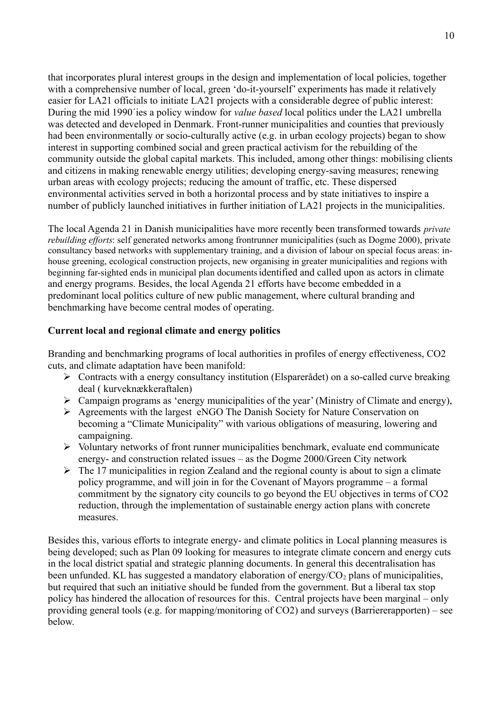that incorporates plural interest groups in the design and implementation of local policies, together with a comprehensive number of local, green 'do-it-yourself' experiments has made it relatively easier for LA21 officials to initiate LA21 projects with a considerable degree of public interest: During the mid 1990´ies a policy window for *value based* local politics under the LA21 umbrella was detected and developed in Denmark. Front-runner municipalities and counties that previously had been environmentally or socio-culturally active (e.g. in urban ecology projects) began to show interest in supporting combined social and green practical activism for the rebuilding of the community outside the global capital markets. This included, among other things: mobilising clients and citizens in making renewable energy utilities; developing energy-saving measures; renewing urban areas with ecology projects; reducing the amount of traffic, etc. These dispersed environmental activities served in both a horizontal process and by state initiatives to inspire a number of publicly launched initiatives in further initiation of LA21 projects in the municipalities.

The local Agenda 21 in Danish municipalities have more recently been transformed towards *private rebuilding efforts*: self generated networks among frontrunner municipalities (such as Dogme 2000), private consultancy based networks with supplementary training, and a division of labour on special focus areas: inhouse greening, ecological construction projects, new organising in greater municipalities and regions with beginning far-sighted ends in municipal plan documents identified and called upon as actors in climate and energy programs. Besides, the local Agenda 21 efforts have become embedded in a predominant local politics culture of new public management, where cultural branding and benchmarking have become central modes of operating.

#### **Current local and regional climate and energy politics**

Branding and benchmarking programs of local authorities in profiles of energy effectiveness, CO2 cuts, and climate adaptation have been manifold:

- $\triangleright$  Contracts with a energy consultancy institution (Elsparerådet) on a so-called curve breaking deal ( kurveknækkeraftalen)
- $\triangleright$  Campaign programs as 'energy municipalities of the year' (Ministry of Climate and energy),
- Agreements with the largest eNGO The Danish Society for Nature Conservation on becoming a "Climate Municipality" with various obligations of measuring, lowering and campaigning.
- $\triangleright$  Voluntary networks of front runner municipalities benchmark, evaluate end communicate energy- and construction related issues – as the Dogme 2000/Green City network
- $\triangleright$  The 17 municipalities in region Zealand and the regional county is about to sign a climate policy programme, and will join in for the Covenant of Mayors programme – a formal commitment by the signatory city councils to go beyond the EU objectives in terms of CO2 reduction, through the implementation of sustainable energy action plans with concrete measures.

Besides this, various efforts to integrate energy- and climate politics in Local planning measures is being developed; such as Plan 09 looking for measures to integrate climate concern and energy cuts in the local district spatial and strategic planning documents. In general this decentralisation has been unfunded. KL has suggested a mandatory elaboration of energy/ $CO<sub>2</sub>$  plans of municipalities, but required that such an initiative should be funded from the government. But a liberal tax stop policy has hindered the allocation of resources for this. Central projects have been marginal – only providing general tools (e.g. for mapping/monitoring of CO2) and surveys (Barriererapporten) – see below.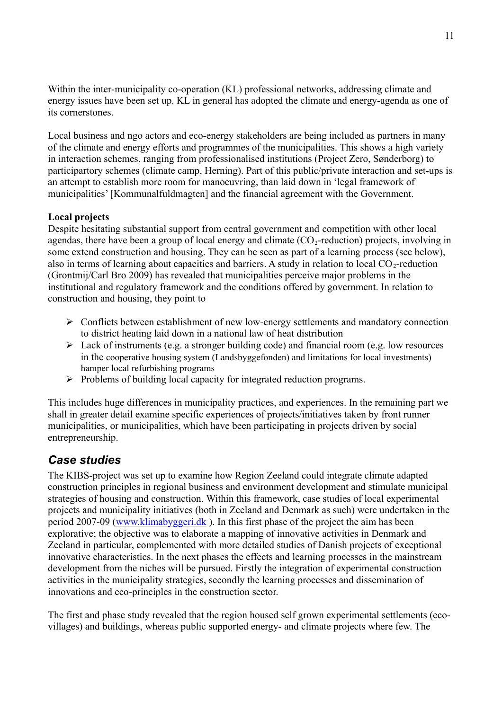Within the inter-municipality co-operation (KL) professional networks, addressing climate and energy issues have been set up. KL in general has adopted the climate and energy-agenda as one of its cornerstones.

Local business and ngo actors and eco-energy stakeholders are being included as partners in many of the climate and energy efforts and programmes of the municipalities. This shows a high variety in interaction schemes, ranging from professionalised institutions (Project Zero, Sønderborg) to participartory schemes (climate camp, Herning). Part of this public/private interaction and set-ups is an attempt to establish more room for manoeuvring, than laid down in 'legal framework of municipalities' [Kommunalfuldmagten] and the financial agreement with the Government.

### **Local projects**

Despite hesitating substantial support from central government and competition with other local agendas, there have been a group of local energy and climate  $(CO<sub>2</sub>-reduction)$  projects, involving in some extend construction and housing. They can be seen as part of a learning process (see below), also in terms of learning about capacities and barriers. A study in relation to local  $CO_2$ -reduction (Grontmij/Carl Bro 2009) has revealed that municipalities perceive major problems in the institutional and regulatory framework and the conditions offered by government. In relation to construction and housing, they point to

- $\triangleright$  Conflicts between establishment of new low-energy settlements and mandatory connection to district heating laid down in a national law of heat distribution
- $\triangleright$  Lack of instruments (e.g. a stronger building code) and financial room (e.g. low resources in the cooperative housing system (Landsbyggefonden) and limitations for local investments) hamper local refurbishing programs
- $\triangleright$  Problems of building local capacity for integrated reduction programs.

This includes huge differences in municipality practices, and experiences. In the remaining part we shall in greater detail examine specific experiences of projects/initiatives taken by front runner municipalities, or municipalities, which have been participating in projects driven by social entrepreneurship.

# *Case studies*

The KIBS-project was set up to examine how Region Zeeland could integrate climate adapted construction principles in regional business and environment development and stimulate municipal strategies of housing and construction. Within this framework, case studies of local experimental projects and municipality initiatives (both in Zeeland and Denmark as such) were undertaken in the period 2007-09 [\(www.klimabyggeri.dk](http://www.klimabyggeri.dk/) ). In this first phase of the project the aim has been explorative; the objective was to elaborate a mapping of innovative activities in Denmark and Zeeland in particular, complemented with more detailed studies of Danish projects of exceptional innovative characteristics. In the next phases the effects and learning processes in the mainstream development from the niches will be pursued. Firstly the integration of experimental construction activities in the municipality strategies, secondly the learning processes and dissemination of innovations and eco-principles in the construction sector.

The first and phase study revealed that the region housed self grown experimental settlements (ecovillages) and buildings, whereas public supported energy- and climate projects where few. The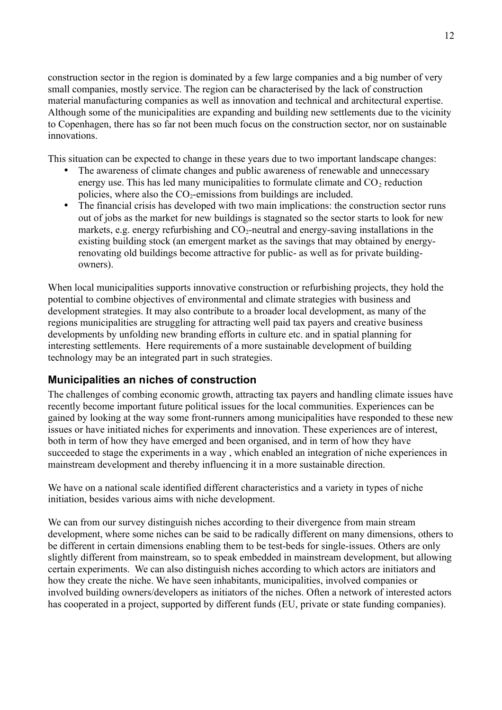construction sector in the region is dominated by a few large companies and a big number of very small companies, mostly service. The region can be characterised by the lack of construction material manufacturing companies as well as innovation and technical and architectural expertise. Although some of the municipalities are expanding and building new settlements due to the vicinity to Copenhagen, there has so far not been much focus on the construction sector, nor on sustainable innovations.

This situation can be expected to change in these years due to two important landscape changes:

- The awareness of climate changes and public awareness of renewable and unnecessary energy use. This has led many municipalities to formulate climate and  $CO<sub>2</sub>$  reduction policies, where also the  $CO<sub>2</sub>$ -emissions from buildings are included.
- The financial crisis has developed with two main implications: the construction sector runs out of jobs as the market for new buildings is stagnated so the sector starts to look for new markets, e.g. energy refurbishing and  $CO<sub>2</sub>$ -neutral and energy-saving installations in the existing building stock (an emergent market as the savings that may obtained by energyrenovating old buildings become attractive for public- as well as for private buildingowners).

When local municipalities supports innovative construction or refurbishing projects, they hold the potential to combine objectives of environmental and climate strategies with business and development strategies. It may also contribute to a broader local development, as many of the regions municipalities are struggling for attracting well paid tax payers and creative business developments by unfolding new branding efforts in culture etc. and in spatial planning for interesting settlements. Here requirements of a more sustainable development of building technology may be an integrated part in such strategies.

# **Municipalities an niches of construction**

The challenges of combing economic growth, attracting tax payers and handling climate issues have recently become important future political issues for the local communities. Experiences can be gained by looking at the way some front-runners among municipalities have responded to these new issues or have initiated niches for experiments and innovation. These experiences are of interest, both in term of how they have emerged and been organised, and in term of how they have succeeded to stage the experiments in a way , which enabled an integration of niche experiences in mainstream development and thereby influencing it in a more sustainable direction.

We have on a national scale identified different characteristics and a variety in types of niche initiation, besides various aims with niche development.

We can from our survey distinguish niches according to their divergence from main stream development, where some niches can be said to be radically different on many dimensions, others to be different in certain dimensions enabling them to be test-beds for single-issues. Others are only slightly different from mainstream, so to speak embedded in mainstream development, but allowing certain experiments. We can also distinguish niches according to which actors are initiators and how they create the niche. We have seen inhabitants, municipalities, involved companies or involved building owners/developers as initiators of the niches. Often a network of interested actors has cooperated in a project, supported by different funds (EU, private or state funding companies).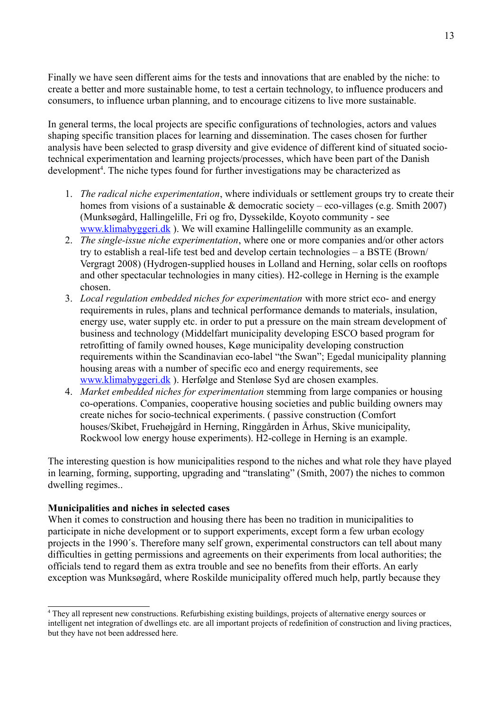Finally we have seen different aims for the tests and innovations that are enabled by the niche: to create a better and more sustainable home, to test a certain technology, to influence producers and consumers, to influence urban planning, and to encourage citizens to live more sustainable.

In general terms, the local projects are specific configurations of technologies, actors and values shaping specific transition places for learning and dissemination. The cases chosen for further analysis have been selected to grasp diversity and give evidence of different kind of situated sociotechnical experimentation and learning projects/processes, which have been part of the Danish development<sup>[4](#page-12-0)</sup>. The niche types found for further investigations may be characterized as

- 1. *The radical niche experimentation*, where individuals or settlement groups try to create their homes from visions of a sustainable & democratic society – eco-villages (e.g. Smith 2007) (Munksøgård, Hallingelille, Fri og fro, Dyssekilde, Koyoto community - see [www.klimabyggeri.dk](http://www.klimabyggeri.dk/) ). We will examine Hallingelille community as an example.
- 2. *The single-issue niche experimentation*, where one or more companies and/or other actors try to establish a real-life test bed and develop certain technologies – a BSTE (Brown/ Vergragt 2008) (Hydrogen-supplied houses in Lolland and Herning, solar cells on rooftops and other spectacular technologies in many cities). H2-college in Herning is the example chosen.
- 3. *Local regulation embedded niches for experimentation* with more strict eco- and energy requirements in rules, plans and technical performance demands to materials, insulation, energy use, water supply etc. in order to put a pressure on the main stream development of business and technology (Middelfart municipality developing ESCO based program for retrofitting of family owned houses, Køge municipality developing construction requirements within the Scandinavian eco-label "the Swan"; Egedal municipality planning housing areas with a number of specific eco and energy requirements, see [www.klimabyggeri.dk](http://www.klimabyggeri.dk/) ). Herfølge and Stenløse Syd are chosen examples.
- 4. *Market embedded niches for experimentation* stemming from large companies or housing co-operations. Companies, cooperative housing societies and public building owners may create niches for socio-technical experiments. ( passive construction (Comfort houses/Skibet, Fruehøjgård in Herning, Ringgården in Århus, Skive municipality, Rockwool low energy house experiments). H2-college in Herning is an example.

The interesting question is how municipalities respond to the niches and what role they have played in learning, forming, supporting, upgrading and "translating" (Smith, 2007) the niches to common dwelling regimes..

#### **Municipalities and niches in selected cases**

When it comes to construction and housing there has been no tradition in municipalities to participate in niche development or to support experiments, except form a few urban ecology projects in the 1990´s. Therefore many self grown, experimental constructors can tell about many difficulties in getting permissions and agreements on their experiments from local authorities; the officials tend to regard them as extra trouble and see no benefits from their efforts. An early exception was Munksøgård, where Roskilde municipality offered much help, partly because they

<span id="page-12-0"></span><sup>4</sup> They all represent new constructions. Refurbishing existing buildings, projects of alternative energy sources or intelligent net integration of dwellings etc. are all important projects of redefinition of construction and living practices, but they have not been addressed here.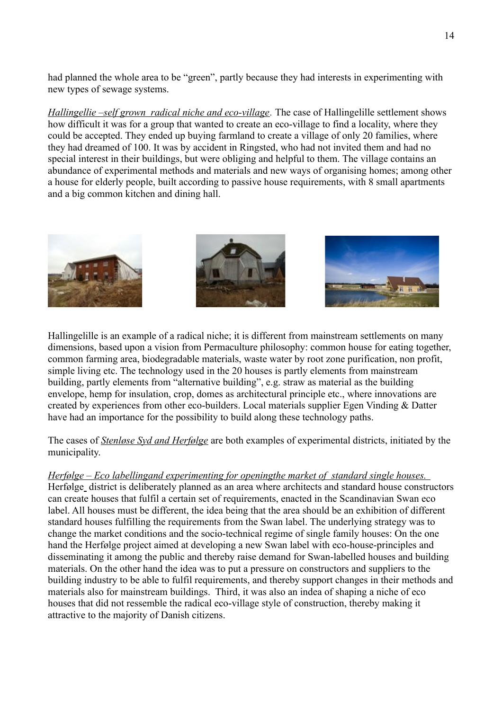had planned the whole area to be "green", partly because they had interests in experimenting with new types of sewage systems.

*Hallingellie –self grown radical niche and eco-village.* The case of Hallingelille settlement shows how difficult it was for a group that wanted to create an eco-village to find a locality, where they could be accepted. They ended up buying farmland to create a village of only 20 families, where they had dreamed of 100. It was by accident in Ringsted, who had not invited them and had no special interest in their buildings, but were obliging and helpful to them. The village contains an abundance of experimental methods and materials and new ways of organising homes; among other a house for elderly people, built according to passive house requirements, with 8 small apartments and a big common kitchen and dining hall.



Hallingelille is an example of a radical niche; it is different from mainstream settlements on many dimensions, based upon a vision from Permaculture philosophy: common house for eating together, common farming area, biodegradable materials, waste water by root zone purification, non profit, simple living etc. The technology used in the 20 houses is partly elements from mainstream building, partly elements from "alternative building", e.g. straw as material as the building envelope, hemp for insulation, crop, domes as architectural principle etc., where innovations are created by experiences from other eco-builders. Local materials supplier Egen Vinding & Datter have had an importance for the possibility to build along these technology paths.

The cases of *Stenløse Syd and Herfølge* are both examples of experimental districts, initiated by the municipality.

 *Herfølge – Eco labellingand experimenting for openingthe market of standard single houses.* Herfølge district is deliberately planned as an area where architects and standard house constructors can create houses that fulfil a certain set of requirements, enacted in the Scandinavian Swan eco label. All houses must be different, the idea being that the area should be an exhibition of different standard houses fulfilling the requirements from the Swan label. The underlying strategy was to change the market conditions and the socio-technical regime of single family houses: On the one hand the Herfølge project aimed at developing a new Swan label with eco-house-principles and disseminating it among the public and thereby raise demand for Swan-labelled houses and building materials. On the other hand the idea was to put a pressure on constructors and suppliers to the building industry to be able to fulfil requirements, and thereby support changes in their methods and materials also for mainstream buildings. Third, it was also an indea of shaping a niche of eco houses that did not ressemble the radical eco-village style of construction, thereby making it attractive to the majority of Danish citizens.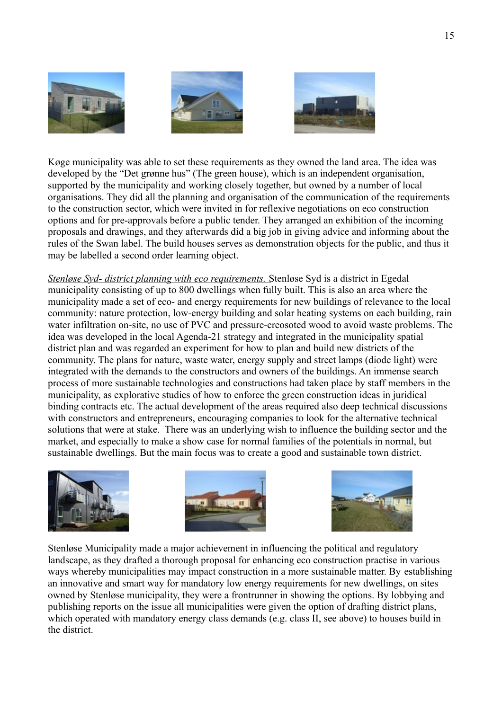





Køge municipality was able to set these requirements as they owned the land area. The idea was developed by the "Det grønne hus" (The green house), which is an independent organisation, supported by the municipality and working closely together, but owned by a number of local organisations. They did all the planning and organisation of the communication of the requirements to the construction sector, which were invited in for reflexive negotiations on eco construction options and for pre-approvals before a public tender. They arranged an exhibition of the incoming proposals and drawings, and they afterwards did a big job in giving advice and informing about the rules of the Swan label. The build houses serves as demonstration objects for the public, and thus it may be labelled a second order learning object.

 *Stenløse Syd - district planning with eco requirements.* Stenløse Syd is a district in Egedal municipality consisting of up to 800 dwellings when fully built. This is also an area where the municipality made a set of eco- and energy requirements for new buildings of relevance to the local community: nature protection, low-energy building and solar heating systems on each building, rain water infiltration on-site, no use of PVC and pressure-creosoted wood to avoid waste problems. The idea was developed in the local Agenda-21 strategy and integrated in the municipality spatial district plan and was regarded an experiment for how to plan and build new districts of the community. The plans for nature, waste water, energy supply and street lamps (diode light) were integrated with the demands to the constructors and owners of the buildings. An immense search process of more sustainable technologies and constructions had taken place by staff members in the municipality, as explorative studies of how to enforce the green construction ideas in juridical binding contracts etc. The actual development of the areas required also deep technical discussions with constructors and entrepreneurs, encouraging companies to look for the alternative technical solutions that were at stake. There was an underlying wish to influence the building sector and the market, and especially to make a show case for normal families of the potentials in normal, but sustainable dwellings. But the main focus was to create a good and sustainable town district.







Stenløse Municipality made a major achievement in influencing the political and regulatory landscape, as they drafted a thorough proposal for enhancing eco construction practise in various ways whereby municipalities may impact construction in a more sustainable matter. By establishing an innovative and smart way for mandatory low energy requirements for new dwellings, on sites owned by Stenløse municipality, they were a frontrunner in showing the options. By lobbying and publishing reports on the issue all municipalities were given the option of drafting district plans, which operated with mandatory energy class demands (e.g. class II, see above) to houses build in the district.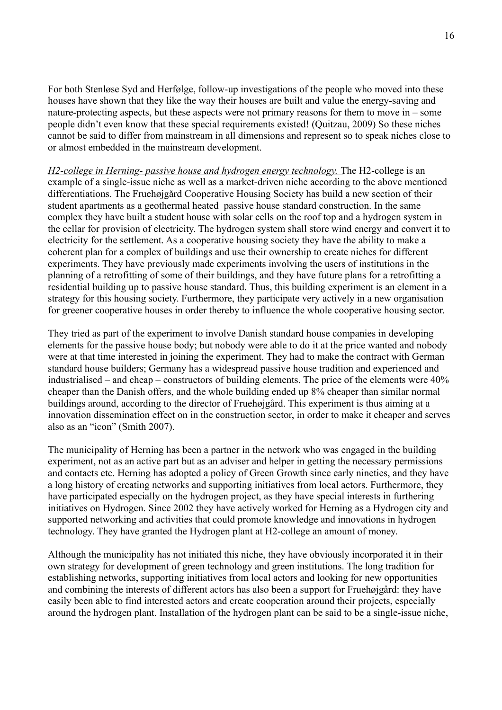For both Stenløse Syd and Herfølge, follow-up investigations of the people who moved into these houses have shown that they like the way their houses are built and value the energy-saving and nature-protecting aspects, but these aspects were not primary reasons for them to move in – some people didn't even know that these special requirements existed! (Quitzau, 2009) So these niches cannot be said to differ from mainstream in all dimensions and represent so to speak niches close to or almost embedded in the mainstream development.

 *H2-college in Herning- passive house and hydrogen energy technology.* The H2-college is an example of a single-issue niche as well as a market-driven niche according to the above mentioned differentiations. The Fruehøjgård Cooperative Housing Society has build a new section of their student apartments as a geothermal heated passive house standard construction. In the same complex they have built a student house with solar cells on the roof top and a hydrogen system in the cellar for provision of electricity. The hydrogen system shall store wind energy and convert it to electricity for the settlement. As a cooperative housing society they have the ability to make a coherent plan for a complex of buildings and use their ownership to create niches for different experiments. They have previously made experiments involving the users of institutions in the planning of a retrofitting of some of their buildings, and they have future plans for a retrofitting a residential building up to passive house standard. Thus, this building experiment is an element in a strategy for this housing society. Furthermore, they participate very actively in a new organisation for greener cooperative houses in order thereby to influence the whole cooperative housing sector.

They tried as part of the experiment to involve Danish standard house companies in developing elements for the passive house body; but nobody were able to do it at the price wanted and nobody were at that time interested in joining the experiment. They had to make the contract with German standard house builders; Germany has a widespread passive house tradition and experienced and industrialised – and cheap – constructors of building elements. The price of the elements were 40% cheaper than the Danish offers, and the whole building ended up 8% cheaper than similar normal buildings around, according to the director of Fruehøjgård. This experiment is thus aiming at a innovation dissemination effect on in the construction sector, in order to make it cheaper and serves also as an "icon" (Smith 2007).

The municipality of Herning has been a partner in the network who was engaged in the building experiment, not as an active part but as an adviser and helper in getting the necessary permissions and contacts etc. Herning has adopted a policy of Green Growth since early nineties, and they have a long history of creating networks and supporting initiatives from local actors. Furthermore, they have participated especially on the hydrogen project, as they have special interests in furthering initiatives on Hydrogen. Since 2002 they have actively worked for Herning as a Hydrogen city and supported networking and activities that could promote knowledge and innovations in hydrogen technology. They have granted the Hydrogen plant at H2-college an amount of money.

Although the municipality has not initiated this niche, they have obviously incorporated it in their own strategy for development of green technology and green institutions. The long tradition for establishing networks, supporting initiatives from local actors and looking for new opportunities and combining the interests of different actors has also been a support for Fruehøjgård: they have easily been able to find interested actors and create cooperation around their projects, especially around the hydrogen plant. Installation of the hydrogen plant can be said to be a single-issue niche,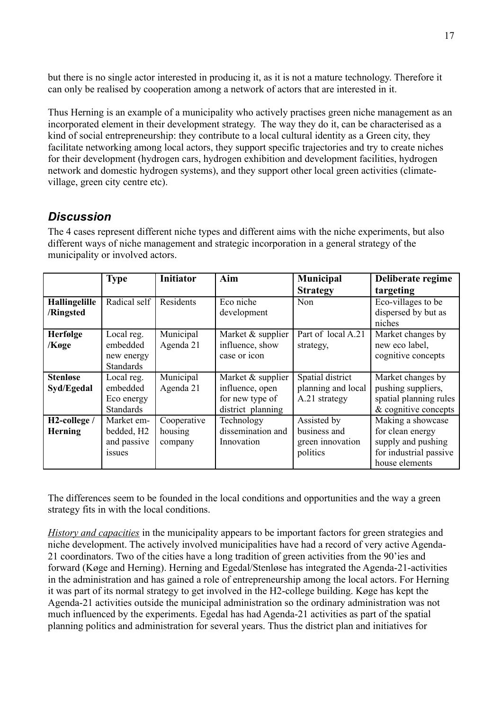but there is no single actor interested in producing it, as it is not a mature technology. Therefore it can only be realised by cooperation among a network of actors that are interested in it.

Thus Herning is an example of a municipality who actively practises green niche management as an incorporated element in their development strategy. The way they do it, can be characterised as a kind of social entrepreneurship: they contribute to a local cultural identity as a Green city, they facilitate networking among local actors, they support specific trajectories and try to create niches for their development (hydrogen cars, hydrogen exhibition and development facilities, hydrogen network and domestic hydrogen systems), and they support other local green activities (climatevillage, green city centre etc).

# *Discussion*

The 4 cases represent different niche types and different aims with the niche experiments, but also different ways of niche management and strategic incorporation in a general strategy of the municipality or involved actors.

|                           | <b>Type</b>            | <b>Initiator</b> | Aim               | Municipal          | Deliberate regime      |
|---------------------------|------------------------|------------------|-------------------|--------------------|------------------------|
|                           |                        |                  |                   | <b>Strategy</b>    | targeting              |
| Hallingelille             | Radical self           | Residents        | Eco niche         | <b>Non</b>         | Eco-villages to be     |
| /Ringsted                 |                        |                  | development       |                    | dispersed by but as    |
|                           |                        |                  |                   |                    | niches                 |
| Herfølge                  | Local reg.             | Municipal        | Market & supplier | Part of local A.21 | Market changes by      |
| /Køge                     | embedded               | Agenda 21        | influence, show   | strategy,          | new eco label,         |
|                           | new energy             |                  | case or icon      |                    | cognitive concepts     |
|                           | <b>Standards</b>       |                  |                   |                    |                        |
| <b>Stenløse</b>           | Local reg.             | Municipal        | Market & supplier | Spatial district   | Market changes by      |
| Syd/Egedal                | embedded               | Agenda 21        | influence, open   | planning and local | pushing suppliers,     |
|                           | Eco energy             |                  | for new type of   | A.21 strategy      | spatial planning rules |
|                           | <b>Standards</b>       |                  | district planning |                    | & cognitive concepts   |
| H <sub>2</sub> -college / | Market em-             | Cooperative      | Technology        | Assisted by        | Making a showcase      |
| <b>Herning</b>            | bedded, H <sub>2</sub> | housing          | dissemination and | business and       | for clean energy       |
|                           | and passive            | company          | Innovation        | green innovation   | supply and pushing     |
|                           | issues                 |                  |                   | politics           | for industrial passive |
|                           |                        |                  |                   |                    | house elements         |

The differences seem to be founded in the local conditions and opportunities and the way a green strategy fits in with the local conditions.

*History and capacities* in the municipality appears to be important factors for green strategies and niche development. The actively involved municipalities have had a record of very active Agenda-21 coordinators. Two of the cities have a long tradition of green activities from the 90'ies and forward (Køge and Herning). Herning and Egedal/Stenløse has integrated the Agenda-21-activities in the administration and has gained a role of entrepreneurship among the local actors. For Herning it was part of its normal strategy to get involved in the H2-college building. Køge has kept the Agenda-21 activities outside the municipal administration so the ordinary administration was not much influenced by the experiments. Egedal has had Agenda-21 activities as part of the spatial planning politics and administration for several years. Thus the district plan and initiatives for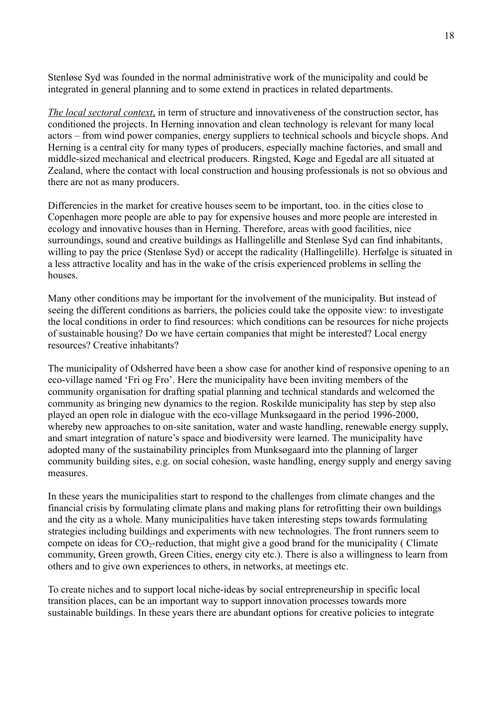Stenløse Syd was founded in the normal administrative work of the municipality and could be integrated in general planning and to some extend in practices in related departments.

 *The local sectoral context*, in term of structure and innovativeness of the construction sector, has conditioned the projects. In Herning innovation and clean technology is relevant for many local actors – from wind power companies, energy suppliers to technical schools and bicycle shops. And Herning is a central city for many types of producers, especially machine factories, and small and middle-sized mechanical and electrical producers. Ringsted, Køge and Egedal are all situated at Zealand, where the contact with local construction and housing professionals is not so obvious and there are not as many producers.

Differencies in the market for creative houses seem to be important, too. in the cities close to Copenhagen more people are able to pay for expensive houses and more people are interested in ecology and innovative houses than in Herning. Therefore, areas with good facilities, nice surroundings, sound and creative buildings as Hallingelille and Stenløse Syd can find inhabitants, willing to pay the price (Stenløse Syd) or accept the radicality (Hallingelille). Herfølge is situated in a less attractive locality and has in the wake of the crisis experienced problems in selling the houses.

Many other conditions may be important for the involvement of the municipality. But instead of seeing the different conditions as barriers, the policies could take the opposite view: to investigate the local conditions in order to find resources: which conditions can be resources for niche projects of sustainable housing? Do we have certain companies that might be interested? Local energy resources? Creative inhabitants?

The municipality of Odsherred have been a show case for another kind of responsive opening to an eco-village named 'Fri og Fro'. Here the municipality have been inviting members of the community organisation for drafting spatial planning and technical standards and welcomed the community as bringing new dynamics to the region. Roskilde municipality has step by step also played an open role in dialogue with the eco-village Munksøgaard in the period 1996-2000, whereby new approaches to on-site sanitation, water and waste handling, renewable energy supply, and smart integration of nature's space and biodiversity were learned. The municipality have adopted many of the sustainability principles from Munksøgaard into the planning of larger community building sites, e.g. on social cohesion, waste handling, energy supply and energy saving measures.

In these years the municipalities start to respond to the challenges from climate changes and the financial crisis by formulating climate plans and making plans for retrofitting their own buildings and the city as a whole. Many municipalities have taken interesting steps towards formulating strategies including buildings and experiments with new technologies. The front runners seem to compete on ideas for  $CO_2$ -reduction, that might give a good brand for the municipality (Climate community, Green growth, Green Cities, energy city etc.). There is also a willingness to learn from others and to give own experiences to others, in networks, at meetings etc.

To create niches and to support local niche-ideas by social entrepreneurship in specific local transition places, can be an important way to support innovation processes towards more sustainable buildings. In these years there are abundant options for creative policies to integrate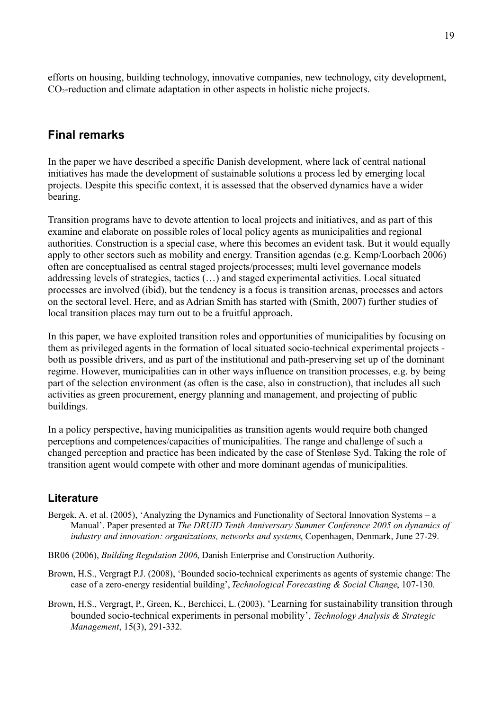efforts on housing, building technology, innovative companies, new technology, city development, CO<sub>2</sub>-reduction and climate adaptation in other aspects in holistic niche projects.

### **Final remarks**

In the paper we have described a specific Danish development, where lack of central national initiatives has made the development of sustainable solutions a process led by emerging local projects. Despite this specific context, it is assessed that the observed dynamics have a wider bearing.

Transition programs have to devote attention to local projects and initiatives, and as part of this examine and elaborate on possible roles of local policy agents as municipalities and regional authorities. Construction is a special case, where this becomes an evident task. But it would equally apply to other sectors such as mobility and energy. Transition agendas (e.g. Kemp/Loorbach 2006) often are conceptualised as central staged projects/processes; multi level governance models addressing levels of strategies, tactics (…) and staged experimental activities. Local situated processes are involved (ibid), but the tendency is a focus is transition arenas, processes and actors on the sectoral level. Here, and as Adrian Smith has started with (Smith, 2007) further studies of local transition places may turn out to be a fruitful approach.

In this paper, we have exploited transition roles and opportunities of municipalities by focusing on them as privileged agents in the formation of local situated socio-technical experimental projects both as possible drivers, and as part of the institutional and path-preserving set up of the dominant regime. However, municipalities can in other ways influence on transition processes, e.g. by being part of the selection environment (as often is the case, also in construction), that includes all such activities as green procurement, energy planning and management, and projecting of public buildings.

In a policy perspective, having municipalities as transition agents would require both changed perceptions and competences/capacities of municipalities. The range and challenge of such a changed perception and practice has been indicated by the case of Stenløse Syd. Taking the role of transition agent would compete with other and more dominant agendas of municipalities.

### **Literature**

- Bergek, A. et al. (2005), 'Analyzing the Dynamics and Functionality of Sectoral Innovation Systems a Manual'. Paper presented at *The DRUID Tenth Anniversary Summer Conference 2005 on dynamics of industry and innovation: organizations, networks and systems*, Copenhagen, Denmark, June 27-29.
- BR06 (2006), *Building Regulation 2006*, Danish Enterprise and Construction Authority.
- Brown, H.S., Vergragt P.J. (2008), 'Bounded socio-technical experiments as agents of systemic change: The case of a zero-energy residential building', *Technological Forecasting & Social Change*, 107-130.
- Brown, H.S., Vergragt, P., Green, K., Berchicci, L. (2003), 'Learning for sustainability transition through bounded socio-technical experiments in personal mobility', *Technology Analysis & Strategic Management*, 15(3), 291-332.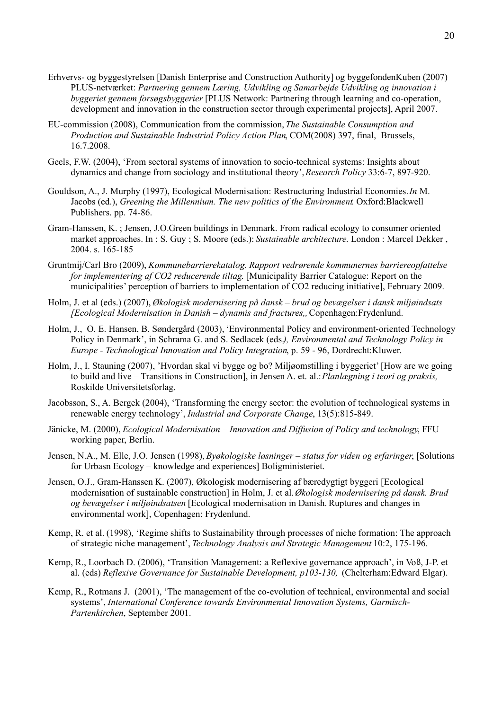- Erhvervs- og byggestyrelsen [Danish Enterprise and Construction Authority] og byggefondenKuben (2007) PLUS-netværket: *Partnering gennem Læring, Udvikling og Samarbejde Udvikling og innovation i byggeriet gennem forsøgsbyggerier* [PLUS Network: Partnering through learning and co-operation, development and innovation in the construction sector through experimental projects], April 2007.
- EU-commission (2008), Communication from the commission, *The Sustainable Consumption and Production and Sustainable Industrial Policy Action Plan*, COM(2008) 397, final, Brussels, 16.7.2008.
- Geels, F.W. (2004), 'From sectoral systems of innovation to socio-technical systems: Insights about dynamics and change from sociology and institutional theory', *Research Policy* 33:6-7, 897-920.
- Gouldson, A., J. Murphy (1997), Ecological Modernisation: Restructuring Industrial Economies. *In* M. Jacobs (ed.), *Greening the Millennium. The new politics of the Environment*. Oxford:Blackwell Publishers. pp. 74-86.
- [Gram-Hanssen, K.](http://vbn.aau.dk/research/gramhanssen_kirsten%5C(5724766%5C)/) ; [Jensen, J.O.](http://vbn.aau.dk/research/jensen_jesper_ole%5C(5725227%5C)/)[Green buildings in Denmark. From radical ecology to consumer oriented](http://vbn.aau.dk/research/green_buildings_in_denmark_from_radical_ecology_to_consumeroriented_market_approaches%5C(10096657%5C)/) [market approaches.](http://vbn.aau.dk/research/green_buildings_in_denmark_from_radical_ecology_to_consumeroriented_market_approaches%5C(10096657%5C)/) In : S. Guy ; S. Moore (eds.): *Sustainable architecture*. London : Marcel Dekker , 2004. s. 165-185
- Gruntmij/Carl Bro (2009), *Kommunebarrierekatalog. Rapport vedrørende kommunernes barriereopfattelse for implementering af CO2 reducerende tiltag*. [Municipality Barrier Catalogue: Report on the municipalities' perception of barriers to implementation of CO2 reducing initiative], February 2009.
- Holm, J. et al (eds.) (2007), *Økologisk modernisering på dansk brud og bevægelser i dansk miljøindsats [Ecological Modernisation in Danish – dynamis and fractures,,* Copenhagen:Frydenlund.
- Holm, J., O. E. Hansen, B. Søndergård (2003), 'Environmental Policy and environment-oriented Technology Policy in Denmark', in Schrama G. and S. Sedlacek (eds.*), Environmental and Technology Policy in Europe - Technological Innovation and Policy Integration*, p. 59 - 96, Dordrecht:Kluwer.
- Holm, J., I. Stauning (2007), 'Hvordan skal vi bygge og bo? Miljøomstilling i byggeriet' [How are we going to build and live – Transitions in Construction], in Jensen A. et. al.: *Planlægning i teori og praksis,* Roskilde Universitetsforlag.
- Jacobsson, S., A. Bergek (2004), 'Transforming the energy sector: the evolution of technological systems in renewable energy technology', *Industrial and Corporate Change*, 13(5):815-849.
- Jänicke, M. (2000), *Ecological Modernisation Innovation and Diffusion of Policy and technology*, FFU working paper, Berlin.
- Jensen, N.A., M. Elle, J.O. Jensen (1998), *Byøkologiske løsninger status for viden og erfaringer*, [Solutions for Urbasn Ecology – knowledge and experiences] Boligministeriet.
- Jensen, O.J., Gram-Hanssen K. (2007), Økologisk modernisering af bæredygtigt byggeri [Ecological modernisation of sustainable construction] in Holm, J. et al. *Økologisk modernisering på dansk. Brud og bevægelser i miljøindsatsen* [Ecological modernisation in Danish. Ruptures and changes in environmental work], Copenhagen: Frydenlund.
- Kemp, R. et al. (1998), 'Regime shifts to Sustainability through processes of niche formation: The approach of strategic niche management', *Technology Analysis and Strategic Management* 10:2, 175-196.
- Kemp, R., Loorbach D. (2006), 'Transition Management: a Reflexive governance approach', in Voß, J-P. et al. (eds) *Reflexive Governance for Sustainable Development, p103-130,* (Chelterham:Edward Elgar).
- Kemp, R., Rotmans J. (2001), 'The management of the co-evolution of technical, environmental and social systems', *International Conference towards Environmental Innovation Systems, Garmisch-Partenkirchen*, September 2001.